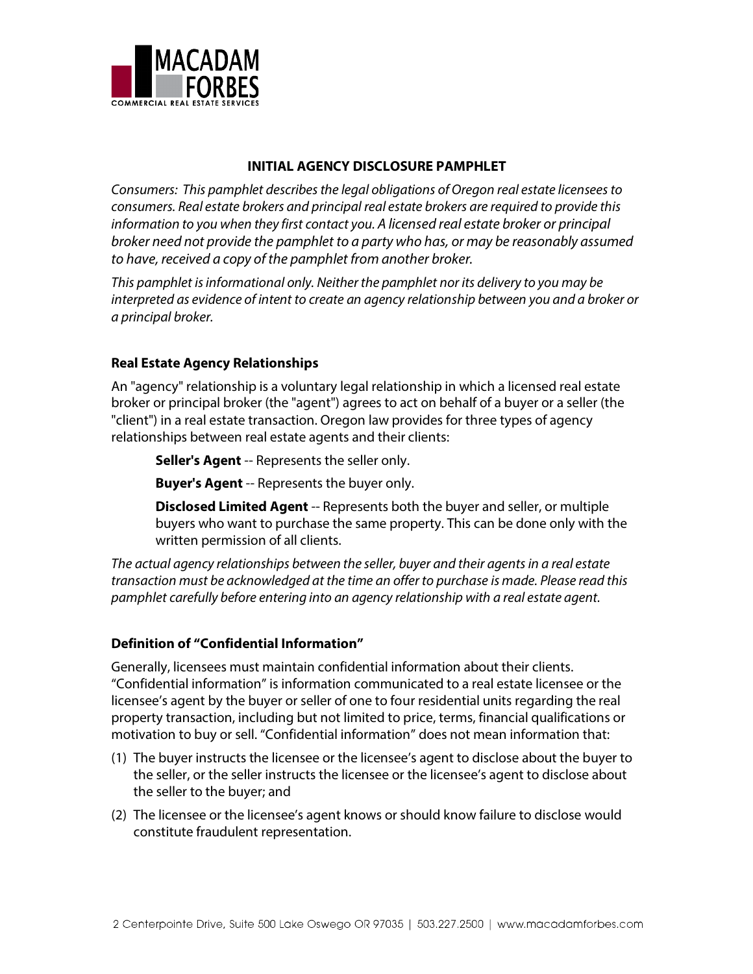

# **INITIAL AGENCY DISCLOSURE PAMPHLET**

*Consumers: This pamphlet describes the legal obligations of Oregon real estate licensees to consumers. Real estate brokers and principal real estate brokers are required to provide this information to you when they first contact you. A licensed real estate broker or principal broker need not provide the pamphlet to a party who has, or may be reasonably assumed to have, received a copy of the pamphlet from another broker.*

*This pamphlet is informational only. Neither the pamphlet nor its delivery to you may be interpreted as evidence of intent to create an agency relationship between you and a broker or a principal broker.* 

# **Real Estate Agency Relationships**

An "agency" relationship is a voluntary legal relationship in which a licensed real estate broker or principal broker (the "agent") agrees to act on behalf of a buyer or a seller (the "client") in a real estate transaction. Oregon law provides for three types of agency relationships between real estate agents and their clients:

**Seller's Agent** -- Represents the seller only.

**Buyer's Agent** -- Represents the buyer only.

**Disclosed Limited Agent** -- Represents both the buyer and seller, or multiple buyers who want to purchase the same property. This can be done only with the written permission of all clients.

*The actual agency relationships between the seller, buyer and their agents in a real estate transaction must be acknowledged at the time an offer to purchase is made. Please read this pamphlet carefully before entering into an agency relationship with a real estate agent.* 

#### **Definition of "Confidential Information"**

Generally, licensees must maintain confidential information about their clients. "Confidential information" is information communicated to a real estate licensee or the licensee's agent by the buyer or seller of one to four residential units regarding the real property transaction, including but not limited to price, terms, financial qualifications or motivation to buy or sell. "Confidential information" does not mean information that:

- (1) The buyer instructs the licensee or the licensee's agent to disclose about the buyer to the seller, or the seller instructs the licensee or the licensee's agent to disclose about the seller to the buyer; and
- (2) The licensee or the licensee's agent knows or should know failure to disclose would constitute fraudulent representation.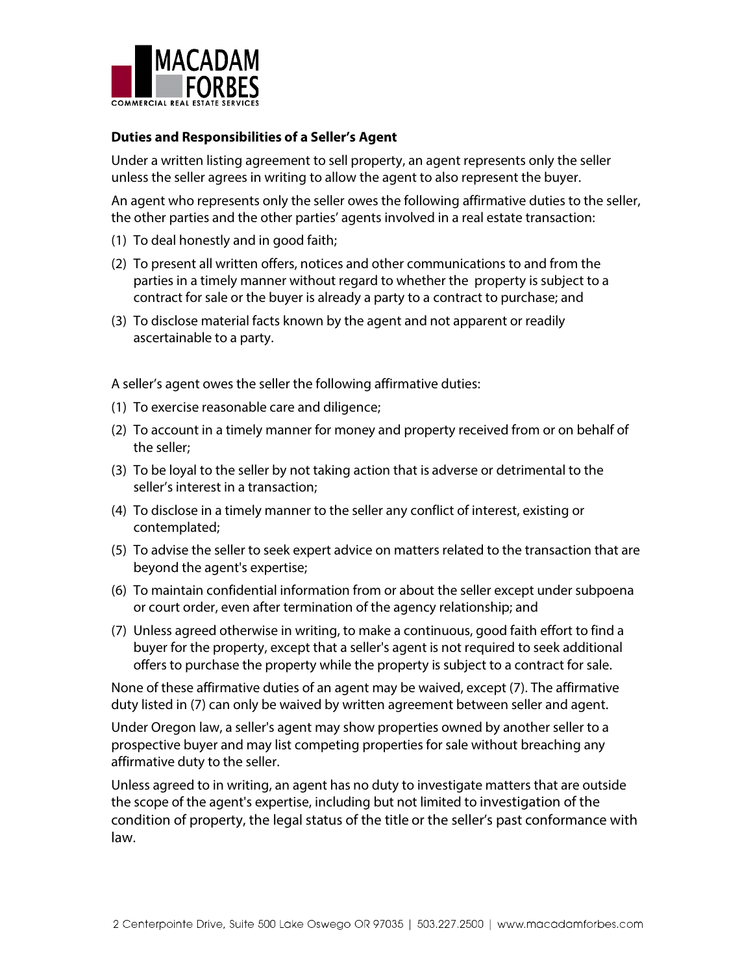

### **Duties and Responsibilities of a Seller's Agent**

Under a written listing agreement to sell property, an agent represents only the seller unless the seller agrees in writing to allow the agent to also represent the buyer.

An agent who represents only the seller owes the following affirmative duties to the seller, the other parties and the other parties' agents involved in a real estate transaction:

- (1) To deal honestly and in good faith;
- (2) To present all written offers, notices and other communications to and from the parties in a timely manner without regard to whether the property is subject to a contract for sale or the buyer is already a party to a contract to purchase; and
- (3) To disclose material facts known by the agent and not apparent or readily ascertainable to a party.

A seller's agent owes the seller the following affirmative duties:

- (1) To exercise reasonable care and diligence;
- (2) To account in a timely manner for money and property received from or on behalf of the seller;
- (3) To be loyal to the seller by not taking action that is adverse or detrimental to the seller's interest in a transaction;
- (4) To disclose in a timely manner to the seller any conflict of interest, existing or contemplated;
- (5) To advise the seller to seek expert advice on matters related to the transaction that are beyond the agent's expertise;
- (6) To maintain confidential information from or about the seller except under subpoena or court order, even after termination of the agency relationship; and
- (7) Unless agreed otherwise in writing, to make a continuous, good faith effort to find a buyer for the property, except that a seller's agent is not required to seek additional offers to purchase the property while the property is subject to a contract for sale.

None of these affirmative duties of an agent may be waived, except (7). The affirmative duty listed in (7) can only be waived by written agreement between seller and agent.

Under Oregon law, a seller's agent may show properties owned by another seller to a prospective buyer and may list competing properties for sale without breaching any affirmative duty to the seller.

Unless agreed to in writing, an agent has no duty to investigate matters that are outside the scope of the agent's expertise, including but not limited to investigation of the condition of property, the legal status of the title or the seller's past conformance with law.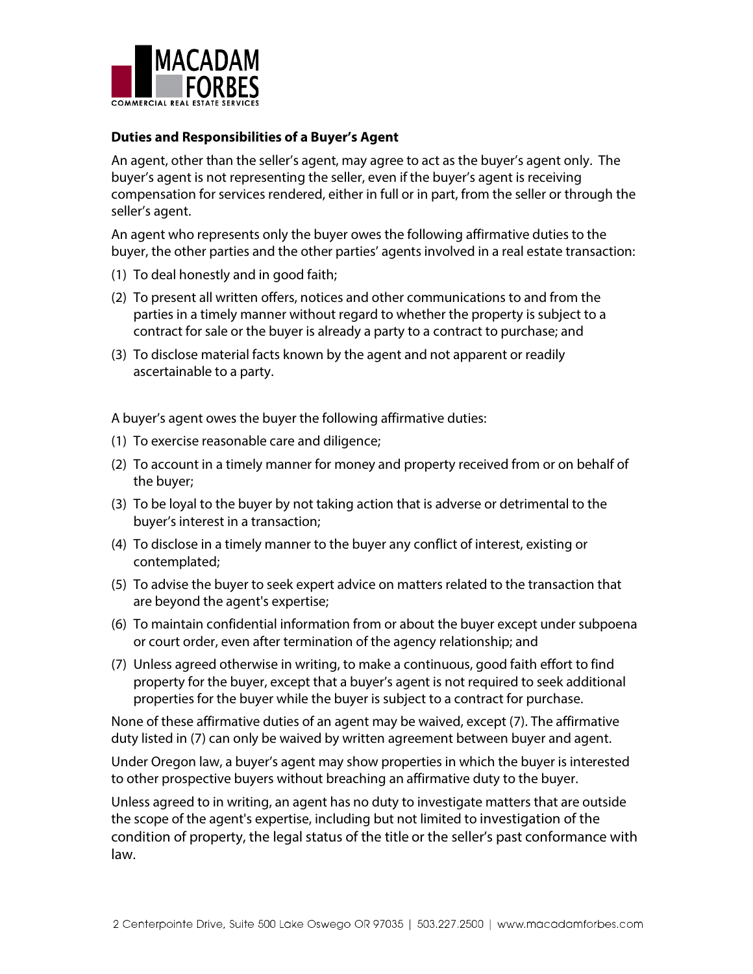

#### **Duties and Responsibilities of a Buyer's Agent**

An agent, other than the seller's agent, may agree to act as the buyer's agent only. The buyer's agent is not representing the seller, even if the buyer's agent is receiving compensation for services rendered, either in full or in part, from the seller or through the seller's agent.

An agent who represents only the buyer owes the following affirmative duties to the buyer, the other parties and the other parties' agents involved in a real estate transaction:

- (1) To deal honestly and in good faith;
- (2) To present all written offers, notices and other communications to and from the parties in a timely manner without regard to whether the property is subject to a contract for sale or the buyer is already a party to a contract to purchase; and
- (3) To disclose material facts known by the agent and not apparent or readily ascertainable to a party.

A buyer's agent owes the buyer the following affirmative duties:

- (1) To exercise reasonable care and diligence;
- (2) To account in a timely manner for money and property received from or on behalf of the buyer;
- (3) To be loyal to the buyer by not taking action that is adverse or detrimental to the buyer's interest in a transaction;
- (4) To disclose in a timely manner to the buyer any conflict of interest, existing or contemplated;
- (5) To advise the buyer to seek expert advice on matters related to the transaction that are beyond the agent's expertise;
- (6) To maintain confidential information from or about the buyer except under subpoena or court order, even after termination of the agency relationship; and
- (7) Unless agreed otherwise in writing, to make a continuous, good faith effort to find property for the buyer, except that a buyer's agent is not required to seek additional properties for the buyer while the buyer is subject to a contract for purchase.

None of these affirmative duties of an agent may be waived, except (7). The affirmative duty listed in (7) can only be waived by written agreement between buyer and agent.

Under Oregon law, a buyer's agent may show properties in which the buyer is interested to other prospective buyers without breaching an affirmative duty to the buyer.

Unless agreed to in writing, an agent has no duty to investigate matters that are outside the scope of the agent's expertise, including but not limited to investigation of the condition of property, the legal status of the title or the seller's past conformance with law.